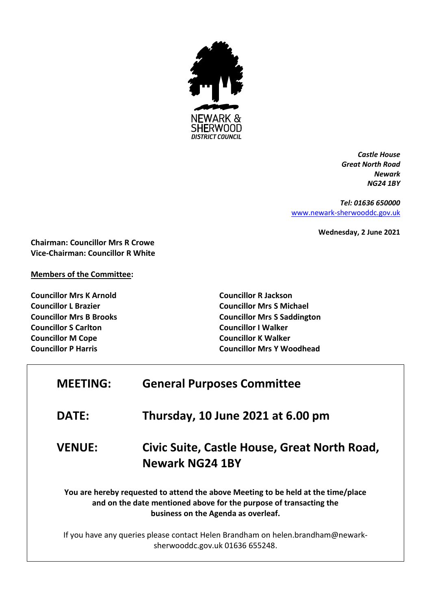

*Castle House Great North Road Newark NG24 1BY*

*Tel: 01636 650000* [www.newark-sherwooddc.gov.uk](http://www.newark-sherwooddc.gov.uk/)

**Wednesday, 2 June 2021**

**Chairman: Councillor Mrs R Crowe Vice-Chairman: Councillor R White**

**Members of the Committee:**

**Councillor Mrs K Arnold Councillor L Brazier Councillor Mrs B Brooks Councillor S Carlton Councillor M Cope Councillor P Harris**

**Councillor R Jackson Councillor Mrs S Michael Councillor Mrs S Saddington Councillor I Walker Councillor K Walker Councillor Mrs Y Woodhead**

| <b>MEETING:</b>                                                                                                                                                                                | <b>General Purposes Committee</b>                                                                                  |
|------------------------------------------------------------------------------------------------------------------------------------------------------------------------------------------------|--------------------------------------------------------------------------------------------------------------------|
| <b>DATE:</b>                                                                                                                                                                                   | Thursday, 10 June 2021 at 6.00 pm                                                                                  |
| <b>VENUE:</b>                                                                                                                                                                                  | Civic Suite, Castle House, Great North Road,<br><b>Newark NG24 1BY</b>                                             |
| You are hereby requested to attend the above Meeting to be held at the time/place<br>and on the date mentioned above for the purpose of transacting the<br>business on the Agenda as overleaf. |                                                                                                                    |
|                                                                                                                                                                                                | If you have any queries please contact Helen Brandham on helen.brandham@newark-<br>sherwooddc.gov.uk 01636 655248. |